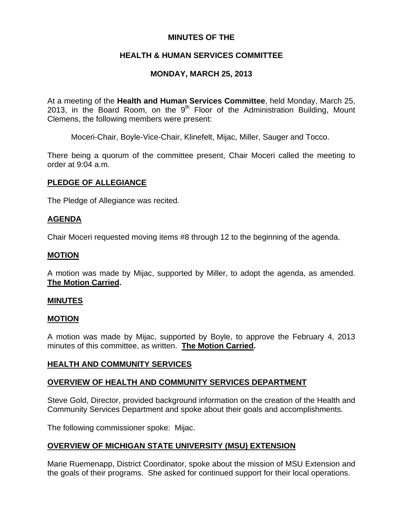## **MINUTES OF THE**

# **HEALTH & HUMAN SERVICES COMMITTEE**

# **MONDAY, MARCH 25, 2013**

At a meeting of the **Health and Human Services Committee**, held Monday, March 25, 2013, in the Board Room, on the  $9<sup>th</sup>$  Floor of the Administration Building, Mount Clemens, the following members were present:

Moceri-Chair, Boyle-Vice-Chair, Klinefelt, Mijac, Miller, Sauger and Tocco.

There being a quorum of the committee present, Chair Moceri called the meeting to order at 9:04 a.m.

## **PLEDGE OF ALLEGIANCE**

The Pledge of Allegiance was recited.

# **AGENDA**

Chair Moceri requested moving items #8 through 12 to the beginning of the agenda.

## **MOTION**

A motion was made by Mijac, supported by Miller, to adopt the agenda, as amended. **The Motion Carried.** 

## **MINUTES**

## **MOTION**

A motion was made by Mijac, supported by Boyle, to approve the February 4, 2013 minutes of this committee, as written. **The Motion Carried.** 

## **HEALTH AND COMMUNITY SERVICES**

# **OVERVIEW OF HEALTH AND COMMUNITY SERVICES DEPARTMENT**

Steve Gold, Director, provided background information on the creation of the Health and Community Services Department and spoke about their goals and accomplishments.

The following commissioner spoke: Mijac.

## **OVERVIEW OF MICHIGAN STATE UNIVERSITY (MSU) EXTENSION**

Marie Ruemenapp, District Coordinator, spoke about the mission of MSU Extension and the goals of their programs. She asked for continued support for their local operations.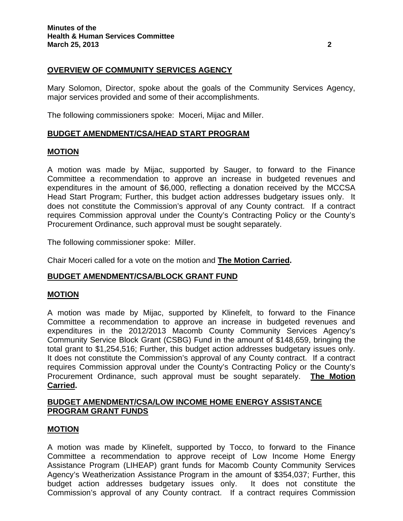### **OVERVIEW OF COMMUNITY SERVICES AGENCY**

Mary Solomon, Director, spoke about the goals of the Community Services Agency, major services provided and some of their accomplishments.

The following commissioners spoke: Moceri, Mijac and Miller.

### **BUDGET AMENDMENT/CSA/HEAD START PROGRAM**

#### **MOTION**

A motion was made by Mijac, supported by Sauger, to forward to the Finance Committee a recommendation to approve an increase in budgeted revenues and expenditures in the amount of \$6,000, reflecting a donation received by the MCCSA Head Start Program; Further, this budget action addresses budgetary issues only. It does not constitute the Commission's approval of any County contract. If a contract requires Commission approval under the County's Contracting Policy or the County's Procurement Ordinance, such approval must be sought separately.

The following commissioner spoke: Miller.

Chair Moceri called for a vote on the motion and **The Motion Carried.** 

#### **BUDGET AMENDMENT/CSA/BLOCK GRANT FUND**

#### **MOTION**

A motion was made by Mijac, supported by Klinefelt, to forward to the Finance Committee a recommendation to approve an increase in budgeted revenues and expenditures in the 2012/2013 Macomb County Community Services Agency's Community Service Block Grant (CSBG) Fund in the amount of \$148,659, bringing the total grant to \$1,254,516; Further, this budget action addresses budgetary issues only. It does not constitute the Commission's approval of any County contract. If a contract requires Commission approval under the County's Contracting Policy or the County's Procurement Ordinance, such approval must be sought separately. **The Motion Carried.** 

### **BUDGET AMENDMENT/CSA/LOW INCOME HOME ENERGY ASSISTANCE PROGRAM GRANT FUNDS**

#### **MOTION**

A motion was made by Klinefelt, supported by Tocco, to forward to the Finance Committee a recommendation to approve receipt of Low Income Home Energy Assistance Program (LIHEAP) grant funds for Macomb County Community Services Agency's Weatherization Assistance Program in the amount of \$354,037; Further, this budget action addresses budgetary issues only. It does not constitute the Commission's approval of any County contract. If a contract requires Commission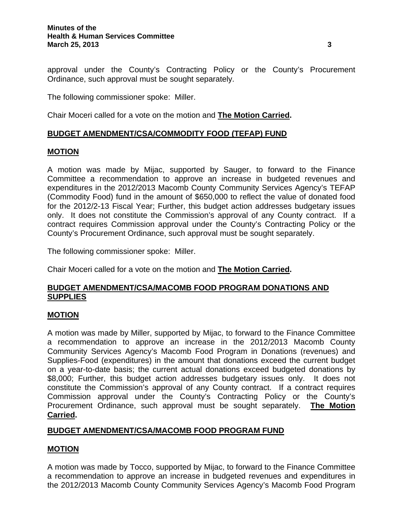approval under the County's Contracting Policy or the County's Procurement Ordinance, such approval must be sought separately.

The following commissioner spoke: Miller.

Chair Moceri called for a vote on the motion and **The Motion Carried.** 

## **BUDGET AMENDMENT/CSA/COMMODITY FOOD (TEFAP) FUND**

### **MOTION**

A motion was made by Mijac, supported by Sauger, to forward to the Finance Committee a recommendation to approve an increase in budgeted revenues and expenditures in the 2012/2013 Macomb County Community Services Agency's TEFAP (Commodity Food) fund in the amount of \$650,000 to reflect the value of donated food for the 2012/2-13 Fiscal Year; Further, this budget action addresses budgetary issues only. It does not constitute the Commission's approval of any County contract. If a contract requires Commission approval under the County's Contracting Policy or the County's Procurement Ordinance, such approval must be sought separately.

The following commissioner spoke: Miller.

Chair Moceri called for a vote on the motion and **The Motion Carried.** 

### **BUDGET AMENDMENT/CSA/MACOMB FOOD PROGRAM DONATIONS AND SUPPLIES**

#### **MOTION**

A motion was made by Miller, supported by Mijac, to forward to the Finance Committee a recommendation to approve an increase in the 2012/2013 Macomb County Community Services Agency's Macomb Food Program in Donations (revenues) and Supplies-Food (expenditures) in the amount that donations exceed the current budget on a year-to-date basis; the current actual donations exceed budgeted donations by \$8,000; Further, this budget action addresses budgetary issues only. It does not constitute the Commission's approval of any County contract. If a contract requires Commission approval under the County's Contracting Policy or the County's Procurement Ordinance, such approval must be sought separately. **The Motion Carried.** 

## **BUDGET AMENDMENT/CSA/MACOMB FOOD PROGRAM FUND**

## **MOTION**

A motion was made by Tocco, supported by Mijac, to forward to the Finance Committee a recommendation to approve an increase in budgeted revenues and expenditures in the 2012/2013 Macomb County Community Services Agency's Macomb Food Program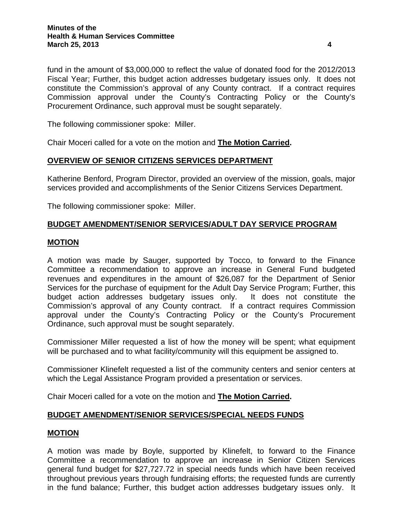fund in the amount of \$3,000,000 to reflect the value of donated food for the 2012/2013 Fiscal Year; Further, this budget action addresses budgetary issues only. It does not constitute the Commission's approval of any County contract. If a contract requires Commission approval under the County's Contracting Policy or the County's Procurement Ordinance, such approval must be sought separately.

The following commissioner spoke: Miller.

Chair Moceri called for a vote on the motion and **The Motion Carried.** 

#### **OVERVIEW OF SENIOR CITIZENS SERVICES DEPARTMENT**

Katherine Benford, Program Director, provided an overview of the mission, goals, major services provided and accomplishments of the Senior Citizens Services Department.

The following commissioner spoke: Miller.

### **BUDGET AMENDMENT/SENIOR SERVICES/ADULT DAY SERVICE PROGRAM**

#### **MOTION**

A motion was made by Sauger, supported by Tocco, to forward to the Finance Committee a recommendation to approve an increase in General Fund budgeted revenues and expenditures in the amount of \$26,087 for the Department of Senior Services for the purchase of equipment for the Adult Day Service Program; Further, this budget action addresses budgetary issues only. It does not constitute the Commission's approval of any County contract. If a contract requires Commission approval under the County's Contracting Policy or the County's Procurement Ordinance, such approval must be sought separately.

Commissioner Miller requested a list of how the money will be spent; what equipment will be purchased and to what facility/community will this equipment be assigned to.

Commissioner Klinefelt requested a list of the community centers and senior centers at which the Legal Assistance Program provided a presentation or services.

Chair Moceri called for a vote on the motion and **The Motion Carried.** 

#### **BUDGET AMENDMENT/SENIOR SERVICES/SPECIAL NEEDS FUNDS**

#### **MOTION**

A motion was made by Boyle, supported by Klinefelt, to forward to the Finance Committee a recommendation to approve an increase in Senior Citizen Services general fund budget for \$27,727.72 in special needs funds which have been received throughout previous years through fundraising efforts; the requested funds are currently in the fund balance; Further, this budget action addresses budgetary issues only. It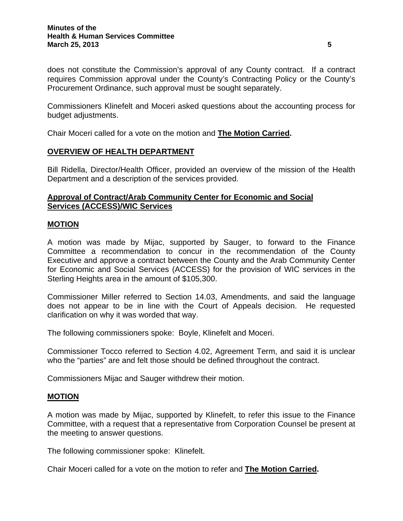does not constitute the Commission's approval of any County contract. If a contract requires Commission approval under the County's Contracting Policy or the County's Procurement Ordinance, such approval must be sought separately.

Commissioners Klinefelt and Moceri asked questions about the accounting process for budget adjustments.

Chair Moceri called for a vote on the motion and **The Motion Carried.** 

# **OVERVIEW OF HEALTH DEPARTMENT**

Bill Ridella, Director/Health Officer, provided an overview of the mission of the Health Department and a description of the services provided.

### **Approval of Contract/Arab Community Center for Economic and Social Services (ACCESS)/WIC Services**

### **MOTION**

A motion was made by Mijac, supported by Sauger, to forward to the Finance Committee a recommendation to concur in the recommendation of the County Executive and approve a contract between the County and the Arab Community Center for Economic and Social Services (ACCESS) for the provision of WIC services in the Sterling Heights area in the amount of \$105,300.

Commissioner Miller referred to Section 14.03, Amendments, and said the language does not appear to be in line with the Court of Appeals decision. He requested clarification on why it was worded that way.

The following commissioners spoke: Boyle, Klinefelt and Moceri.

Commissioner Tocco referred to Section 4.02, Agreement Term, and said it is unclear who the "parties" are and felt those should be defined throughout the contract.

Commissioners Mijac and Sauger withdrew their motion.

#### **MOTION**

A motion was made by Mijac, supported by Klinefelt, to refer this issue to the Finance Committee, with a request that a representative from Corporation Counsel be present at the meeting to answer questions.

The following commissioner spoke: Klinefelt.

Chair Moceri called for a vote on the motion to refer and **The Motion Carried.**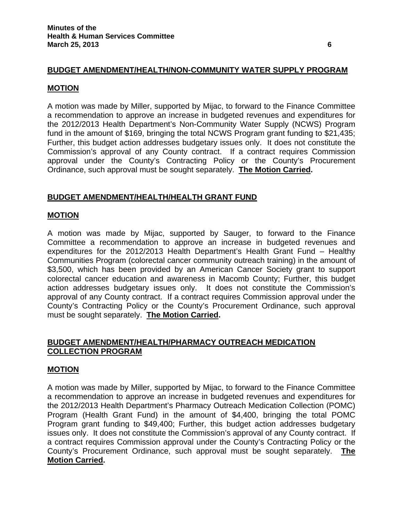### **BUDGET AMENDMENT/HEALTH/NON-COMMUNITY WATER SUPPLY PROGRAM**

#### **MOTION**

A motion was made by Miller, supported by Mijac, to forward to the Finance Committee a recommendation to approve an increase in budgeted revenues and expenditures for the 2012/2013 Health Department's Non-Community Water Supply (NCWS) Program fund in the amount of \$169, bringing the total NCWS Program grant funding to \$21,435; Further, this budget action addresses budgetary issues only. It does not constitute the Commission's approval of any County contract. If a contract requires Commission approval under the County's Contracting Policy or the County's Procurement Ordinance, such approval must be sought separately. **The Motion Carried.** 

#### **BUDGET AMENDMENT/HEALTH/HEALTH GRANT FUND**

#### **MOTION**

A motion was made by Mijac, supported by Sauger, to forward to the Finance Committee a recommendation to approve an increase in budgeted revenues and expenditures for the 2012/2013 Health Department's Health Grant Fund – Healthy Communities Program (colorectal cancer community outreach training) in the amount of \$3,500, which has been provided by an American Cancer Society grant to support colorectal cancer education and awareness in Macomb County; Further, this budget action addresses budgetary issues only. It does not constitute the Commission's approval of any County contract. If a contract requires Commission approval under the County's Contracting Policy or the County's Procurement Ordinance, such approval must be sought separately. **The Motion Carried.** 

## **BUDGET AMENDMENT/HEALTH/PHARMACY OUTREACH MEDICATION COLLECTION PROGRAM**

#### **MOTION**

A motion was made by Miller, supported by Mijac, to forward to the Finance Committee a recommendation to approve an increase in budgeted revenues and expenditures for the 2012/2013 Health Department's Pharmacy Outreach Medication Collection (POMC) Program (Health Grant Fund) in the amount of \$4,400, bringing the total POMC Program grant funding to \$49,400; Further, this budget action addresses budgetary issues only. It does not constitute the Commission's approval of any County contract. If a contract requires Commission approval under the County's Contracting Policy or the County's Procurement Ordinance, such approval must be sought separately. **The Motion Carried.**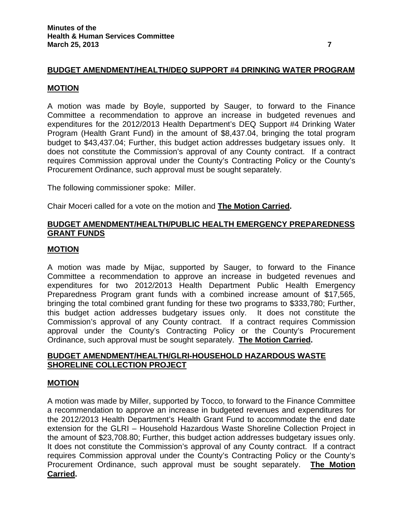## **BUDGET AMENDMENT/HEALTH/DEQ SUPPORT #4 DRINKING WATER PROGRAM**

#### **MOTION**

A motion was made by Boyle, supported by Sauger, to forward to the Finance Committee a recommendation to approve an increase in budgeted revenues and expenditures for the 2012/2013 Health Department's DEQ Support #4 Drinking Water Program (Health Grant Fund) in the amount of \$8,437.04, bringing the total program budget to \$43,437.04; Further, this budget action addresses budgetary issues only. It does not constitute the Commission's approval of any County contract. If a contract requires Commission approval under the County's Contracting Policy or the County's Procurement Ordinance, such approval must be sought separately.

The following commissioner spoke: Miller.

Chair Moceri called for a vote on the motion and **The Motion Carried.** 

### **BUDGET AMENDMENT/HEALTH/PUBLIC HEALTH EMERGENCY PREPAREDNESS GRANT FUNDS**

#### **MOTION**

A motion was made by Mijac, supported by Sauger, to forward to the Finance Committee a recommendation to approve an increase in budgeted revenues and expenditures for two 2012/2013 Health Department Public Health Emergency Preparedness Program grant funds with a combined increase amount of \$17,565, bringing the total combined grant funding for these two programs to \$333,780; Further, this budget action addresses budgetary issues only. It does not constitute the Commission's approval of any County contract. If a contract requires Commission approval under the County's Contracting Policy or the County's Procurement Ordinance, such approval must be sought separately. **The Motion Carried.** 

### **BUDGET AMENDMENT/HEALTH/GLRI-HOUSEHOLD HAZARDOUS WASTE SHORELINE COLLECTION PROJECT**

#### **MOTION**

A motion was made by Miller, supported by Tocco, to forward to the Finance Committee a recommendation to approve an increase in budgeted revenues and expenditures for the 2012/2013 Health Department's Health Grant Fund to accommodate the end date extension for the GLRI – Household Hazardous Waste Shoreline Collection Project in the amount of \$23,708.80; Further, this budget action addresses budgetary issues only. It does not constitute the Commission's approval of any County contract. If a contract requires Commission approval under the County's Contracting Policy or the County's Procurement Ordinance, such approval must be sought separately. **The Motion Carried.**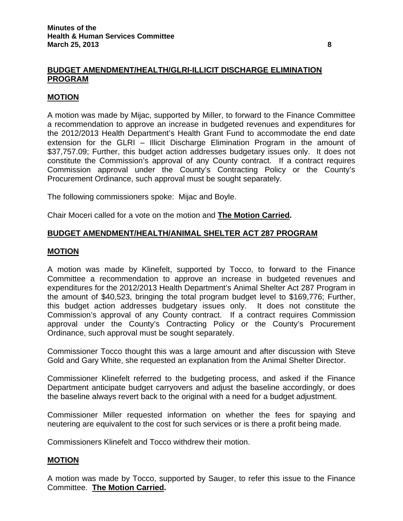## **BUDGET AMENDMENT/HEALTH/GLRI-ILLICIT DISCHARGE ELIMINATION PROGRAM**

### **MOTION**

A motion was made by Mijac, supported by Miller, to forward to the Finance Committee a recommendation to approve an increase in budgeted revenues and expenditures for the 2012/2013 Health Department's Health Grant Fund to accommodate the end date extension for the GLRI – Illicit Discharge Elimination Program in the amount of \$37,757.09; Further, this budget action addresses budgetary issues only. It does not constitute the Commission's approval of any County contract. If a contract requires Commission approval under the County's Contracting Policy or the County's Procurement Ordinance, such approval must be sought separately.

The following commissioners spoke: Mijac and Boyle.

Chair Moceri called for a vote on the motion and **The Motion Carried.** 

## **BUDGET AMENDMENT/HEALTH/ANIMAL SHELTER ACT 287 PROGRAM**

#### **MOTION**

A motion was made by Klinefelt, supported by Tocco, to forward to the Finance Committee a recommendation to approve an increase in budgeted revenues and expenditures for the 2012/2013 Health Department's Animal Shelter Act 287 Program in the amount of \$40,523, bringing the total program budget level to \$169,776; Further, this budget action addresses budgetary issues only. It does not constitute the Commission's approval of any County contract. If a contract requires Commission approval under the County's Contracting Policy or the County's Procurement Ordinance, such approval must be sought separately.

Commissioner Tocco thought this was a large amount and after discussion with Steve Gold and Gary White, she requested an explanation from the Animal Shelter Director.

Commissioner Klinefelt referred to the budgeting process, and asked if the Finance Department anticipate budget carryovers and adjust the baseline accordingly, or does the baseline always revert back to the original with a need for a budget adjustment.

Commissioner Miller requested information on whether the fees for spaying and neutering are equivalent to the cost for such services or is there a profit being made.

Commissioners Klinefelt and Tocco withdrew their motion.

#### **MOTION**

A motion was made by Tocco, supported by Sauger, to refer this issue to the Finance Committee. **The Motion Carried.**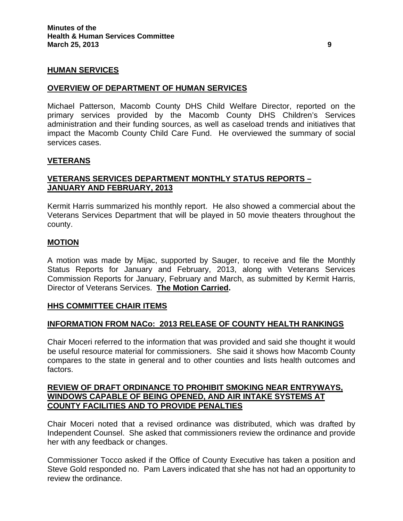#### **HUMAN SERVICES**

#### **OVERVIEW OF DEPARTMENT OF HUMAN SERVICES**

Michael Patterson, Macomb County DHS Child Welfare Director, reported on the primary services provided by the Macomb County DHS Children's Services administration and their funding sources, as well as caseload trends and initiatives that impact the Macomb County Child Care Fund. He overviewed the summary of social services cases.

#### **VETERANS**

### **VETERANS SERVICES DEPARTMENT MONTHLY STATUS REPORTS – JANUARY AND FEBRUARY, 2013**

Kermit Harris summarized his monthly report. He also showed a commercial about the Veterans Services Department that will be played in 50 movie theaters throughout the county.

#### **MOTION**

A motion was made by Mijac, supported by Sauger, to receive and file the Monthly Status Reports for January and February, 2013, along with Veterans Services Commission Reports for January, February and March, as submitted by Kermit Harris, Director of Veterans Services. **The Motion Carried.** 

#### **HHS COMMITTEE CHAIR ITEMS**

#### **INFORMATION FROM NACo: 2013 RELEASE OF COUNTY HEALTH RANKINGS**

Chair Moceri referred to the information that was provided and said she thought it would be useful resource material for commissioners. She said it shows how Macomb County compares to the state in general and to other counties and lists health outcomes and factors.

### **REVIEW OF DRAFT ORDINANCE TO PROHIBIT SMOKING NEAR ENTRYWAYS, WINDOWS CAPABLE OF BEING OPENED, AND AIR INTAKE SYSTEMS AT COUNTY FACILITIES AND TO PROVIDE PENALTIES**

Chair Moceri noted that a revised ordinance was distributed, which was drafted by Independent Counsel. She asked that commissioners review the ordinance and provide her with any feedback or changes.

Commissioner Tocco asked if the Office of County Executive has taken a position and Steve Gold responded no. Pam Lavers indicated that she has not had an opportunity to review the ordinance.